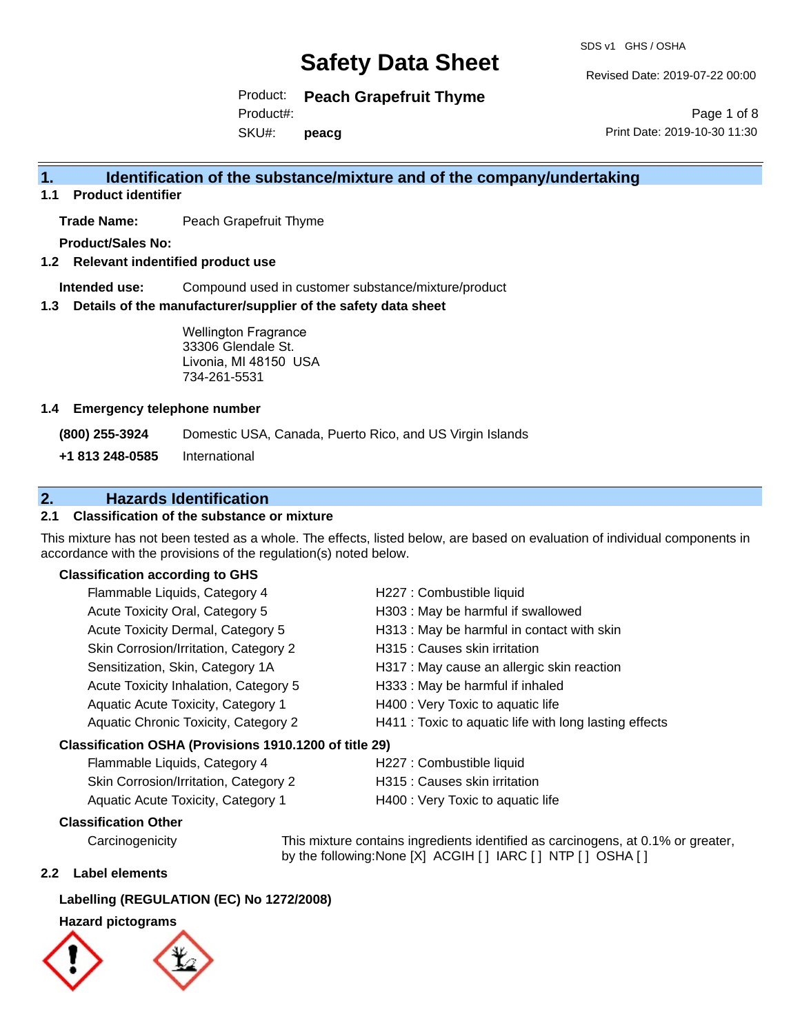SDS v1 GHS / OSHA

Revised Date: 2019-07-22 00:00

Product: **Peach Grapefruit Thyme** Product#:

SKU#: **peacg**

Page 1 of 8 Print Date: 2019-10-30 11:30

### **1. Identification of the substance/mixture and of the company/undertaking**

**1.1 Product identifier**

**Trade Name:** Peach Grapefruit Thyme

**Product/Sales No:**

**1.2 Relevant indentified product use**

**Intended use:** Compound used in customer substance/mixture/product

**1.3 Details of the manufacturer/supplier of the safety data sheet**

Wellington Fragrance 33306 Glendale St. Livonia, MI 48150 USA 734-261-5531

#### **1.4 Emergency telephone number**

**(800) 255-3924** Domestic USA, Canada, Puerto Rico, and US Virgin Islands

**+1 813 248-0585** International

### **2. Hazards Identification**

#### **2.1 Classification of the substance or mixture**

This mixture has not been tested as a whole. The effects, listed below, are based on evaluation of individual components in accordance with the provisions of the regulation(s) noted below.

#### **Classification according to GHS**

| Flammable Liquids, Category 4                          | H227 : Combustible liquid                              |  |
|--------------------------------------------------------|--------------------------------------------------------|--|
| Acute Toxicity Oral, Category 5                        | H303 : May be harmful if swallowed                     |  |
| Acute Toxicity Dermal, Category 5                      | H313 : May be harmful in contact with skin             |  |
| Skin Corrosion/Irritation, Category 2                  | H315 : Causes skin irritation                          |  |
| Sensitization, Skin, Category 1A                       | H317 : May cause an allergic skin reaction             |  |
| Acute Toxicity Inhalation, Category 5                  | H333: May be harmful if inhaled                        |  |
| Aquatic Acute Toxicity, Category 1                     | H400 : Very Toxic to aquatic life                      |  |
| Aquatic Chronic Toxicity, Category 2                   | H411 : Toxic to aquatic life with long lasting effects |  |
| Classification OSHA (Provisions 1910.1200 of title 29) |                                                        |  |

| Flammable Liquids, Category 4         | H227 : Combustible liquid         |
|---------------------------------------|-----------------------------------|
| Skin Corrosion/Irritation, Category 2 | H315 : Causes skin irritation     |
| Aquatic Acute Toxicity, Category 1    | H400 : Very Toxic to aquatic life |

#### **Classification Other**

Carcinogenicity This mixture contains ingredients identified as carcinogens, at 0.1% or greater, by the following:None [X] ACGIH [] IARC [] NTP [] OSHA []

#### **2.2 Label elements**

#### **Labelling (REGULATION (EC) No 1272/2008)**

#### **Hazard pictograms**



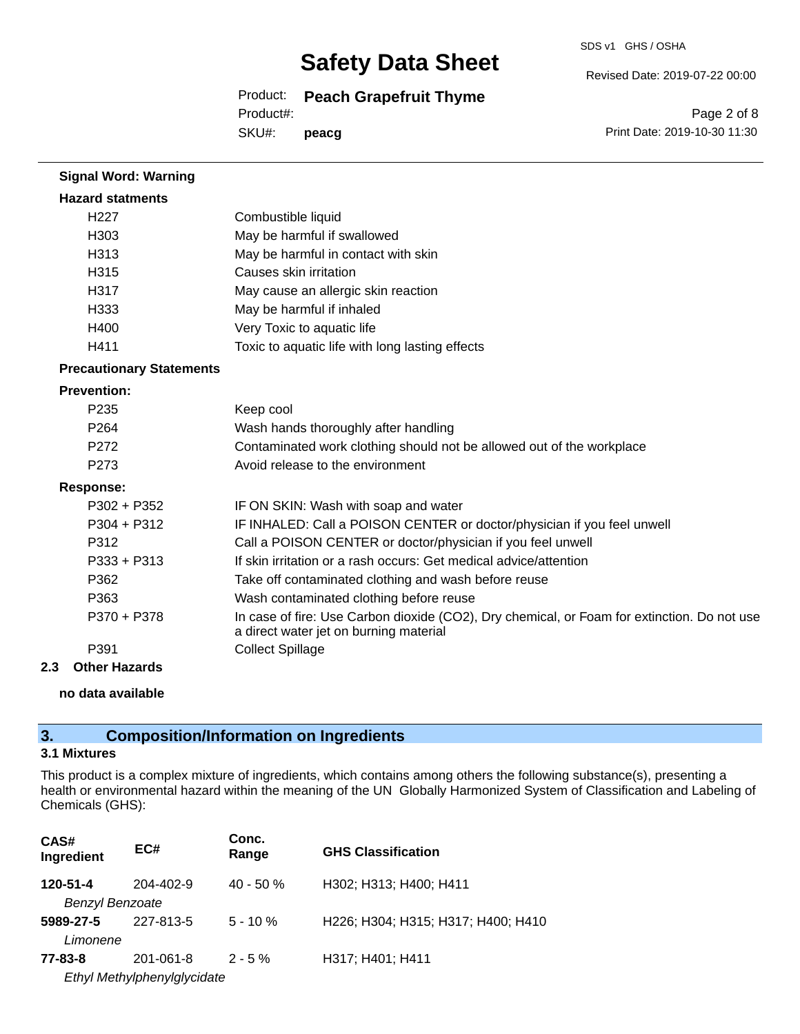SDS v1 GHS / OSHA

Revised Date: 2019-07-22 00:00

Product: **Peach Grapefruit Thyme**

Product#:

SKU#: **peacg**

Page 2 of 8 Print Date: 2019-10-30 11:30

| <b>Signal Word: Warning</b>     |                                                                                                                                       |
|---------------------------------|---------------------------------------------------------------------------------------------------------------------------------------|
| <b>Hazard statments</b>         |                                                                                                                                       |
| H <sub>227</sub>                | Combustible liquid                                                                                                                    |
| H303                            | May be harmful if swallowed                                                                                                           |
| H313                            | May be harmful in contact with skin                                                                                                   |
| H315                            | Causes skin irritation                                                                                                                |
| H317                            | May cause an allergic skin reaction                                                                                                   |
| H333                            | May be harmful if inhaled                                                                                                             |
| H400                            | Very Toxic to aquatic life                                                                                                            |
| H411                            | Toxic to aquatic life with long lasting effects                                                                                       |
| <b>Precautionary Statements</b> |                                                                                                                                       |
| <b>Prevention:</b>              |                                                                                                                                       |
| P <sub>235</sub>                | Keep cool                                                                                                                             |
| P <sub>264</sub>                | Wash hands thoroughly after handling                                                                                                  |
| P272                            | Contaminated work clothing should not be allowed out of the workplace                                                                 |
| P273                            | Avoid release to the environment                                                                                                      |
| <b>Response:</b>                |                                                                                                                                       |
| P302 + P352                     | IF ON SKIN: Wash with soap and water                                                                                                  |
| P304 + P312                     | IF INHALED: Call a POISON CENTER or doctor/physician if you feel unwell                                                               |
| P312                            | Call a POISON CENTER or doctor/physician if you feel unwell                                                                           |
| $P333 + P313$                   | If skin irritation or a rash occurs: Get medical advice/attention                                                                     |
| P362                            | Take off contaminated clothing and wash before reuse                                                                                  |
| P363                            | Wash contaminated clothing before reuse                                                                                               |
| P370 + P378                     | In case of fire: Use Carbon dioxide (CO2), Dry chemical, or Foam for extinction. Do not use<br>a direct water jet on burning material |
| P391                            | <b>Collect Spillage</b>                                                                                                               |
| <b>Other Hazards</b><br>2.3     |                                                                                                                                       |

#### **no data available**

## **3. Composition/Information on Ingredients**

#### **3.1 Mixtures**

This product is a complex mixture of ingredients, which contains among others the following substance(s), presenting a health or environmental hazard within the meaning of the UN Globally Harmonized System of Classification and Labeling of Chemicals (GHS):

| CAS#<br>Ingredient     | EC#                         | Conc.<br>Range | <b>GHS Classification</b>          |
|------------------------|-----------------------------|----------------|------------------------------------|
| 120-51-4               | 204-402-9                   | $40 - 50%$     | H302; H313; H400; H411             |
| <b>Benzyl Benzoate</b> |                             |                |                                    |
| 5989-27-5              | 227-813-5                   | $5 - 10 \%$    | H226; H304; H315; H317; H400; H410 |
| Limonene               |                             |                |                                    |
| 77-83-8                | 201-061-8                   | $2 - 5%$       | H317; H401; H411                   |
|                        | Ethyl Methylphenylglycidate |                |                                    |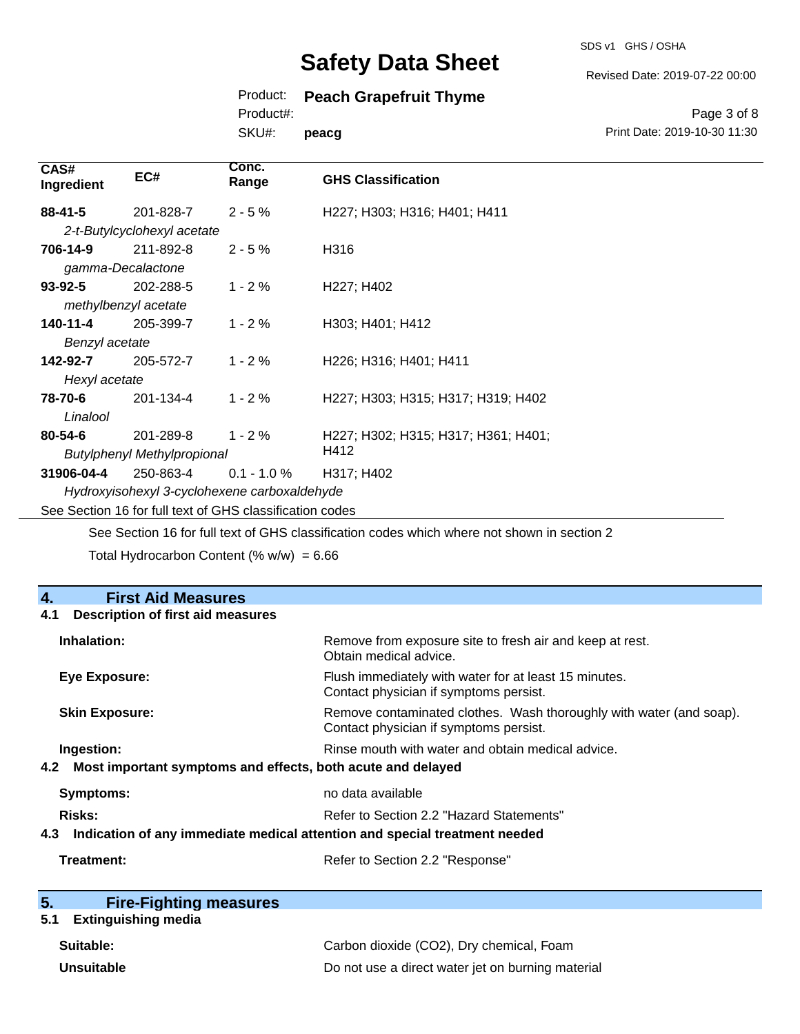SDS v1 GHS / OSHA

#### Revised Date: 2019-07-22 00:00

### Product: **Peach Grapefruit Thyme**

Product#:

SKU#: **peacg**

Page 3 of 8 Print Date: 2019-10-30 11:30

| CAS#<br>Ingredient | EC#                                | Conc.<br>Range                                           | <b>GHS Classification</b>           |
|--------------------|------------------------------------|----------------------------------------------------------|-------------------------------------|
| $88 - 41 - 5$      | 201-828-7                          | $2 - 5%$                                                 | H227; H303; H316; H401; H411        |
|                    | 2-t-Butylcyclohexyl acetate        |                                                          |                                     |
| 706-14-9           | 211-892-8                          | $2 - 5%$                                                 | H316                                |
|                    | gamma-Decalactone                  |                                                          |                                     |
| $93 - 92 - 5$      | 202-288-5                          | $1 - 2%$                                                 | H <sub>227</sub> ; H <sub>402</sub> |
|                    | methylbenzyl acetate               |                                                          |                                     |
| 140-11-4           | 205-399-7                          | $1 - 2 \%$                                               | H303; H401; H412                    |
| Benzyl acetate     |                                    |                                                          |                                     |
| 142-92-7           | 205-572-7                          | $1 - 2%$                                                 | H226; H316; H401; H411              |
| Hexyl acetate      |                                    |                                                          |                                     |
| 78-70-6            | 201-134-4                          | $1 - 2%$                                                 | H227; H303; H315; H317; H319; H402  |
| Linalool           |                                    |                                                          |                                     |
| $80 - 54 - 6$      | 201-289-8                          | $1 - 2%$                                                 | H227; H302; H315; H317; H361; H401; |
|                    | <b>Butylphenyl Methylpropional</b> |                                                          | H412                                |
| 31906-04-4         | 250-863-4                          | $0.1 - 1.0 \%$                                           | H317; H402                          |
|                    |                                    | Hydroxyisohexyl 3-cyclohexene carboxaldehyde             |                                     |
|                    |                                    | See Section 16 for full text of GHS classification codes |                                     |

See Section 16 for full text of GHS classification codes which where not shown in section 2

Total Hydrocarbon Content (%  $w/w$ ) = 6.66

| 4.<br><b>First Aid Measures</b>                                                   |                                                                                                               |
|-----------------------------------------------------------------------------------|---------------------------------------------------------------------------------------------------------------|
| <b>Description of first aid measures</b><br>4.1                                   |                                                                                                               |
| Inhalation:                                                                       | Remove from exposure site to fresh air and keep at rest.<br>Obtain medical advice.                            |
| <b>Eye Exposure:</b>                                                              | Flush immediately with water for at least 15 minutes.<br>Contact physician if symptoms persist.               |
| <b>Skin Exposure:</b>                                                             | Remove contaminated clothes. Wash thoroughly with water (and soap).<br>Contact physician if symptoms persist. |
| Ingestion:                                                                        | Rinse mouth with water and obtain medical advice.                                                             |
| Most important symptoms and effects, both acute and delayed<br>4.2                |                                                                                                               |
| Symptoms:                                                                         | no data available                                                                                             |
| <b>Risks:</b>                                                                     | Refer to Section 2.2 "Hazard Statements"                                                                      |
| Indication of any immediate medical attention and special treatment needed<br>4.3 |                                                                                                               |
| Treatment:                                                                        | Refer to Section 2.2 "Response"                                                                               |

| 5. | <b>Fire-Fighting measures</b> |
|----|-------------------------------|
|    |                               |

## **5.1 Extinguishing media**

| Suitable:         | Carbon dioxide (CO2), Dry chemical, Foam          |
|-------------------|---------------------------------------------------|
| <b>Unsuitable</b> | Do not use a direct water jet on burning material |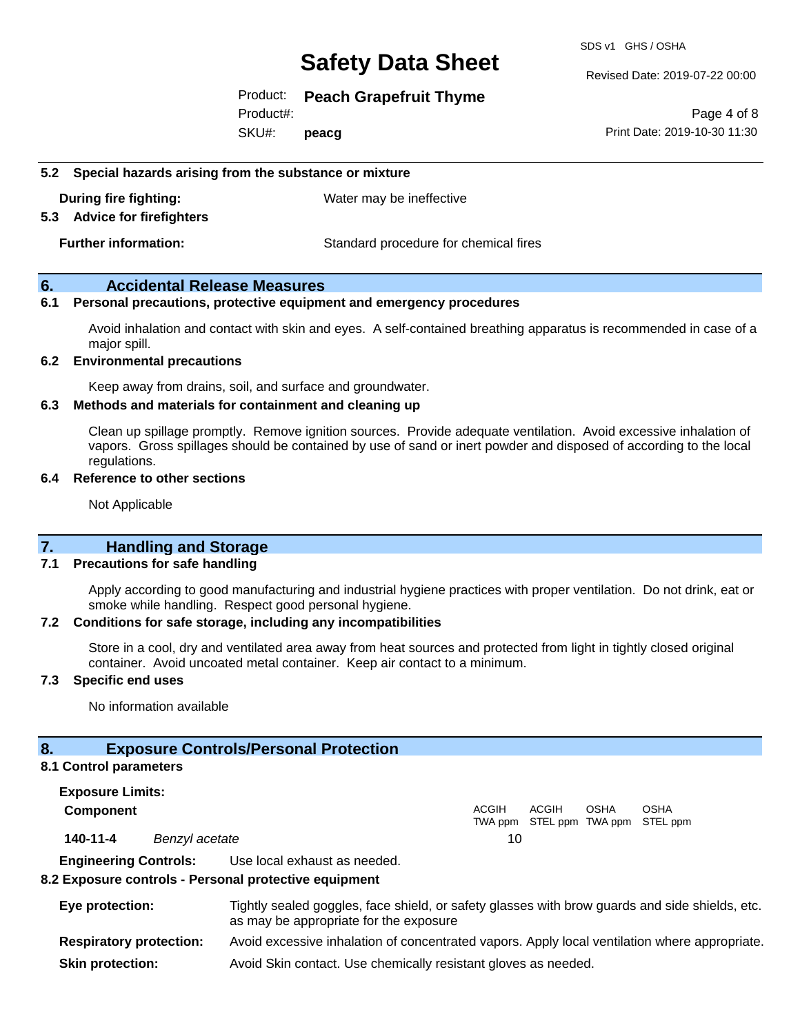SDS v1 GHS / OSHA

Revised Date: 2019-07-22 00:00

Product: **Peach Grapefruit Thyme**

Product#:

SKU#: **peacg**

Page 4 of 8 Print Date: 2019-10-30 11:30

#### **5.2 Special hazards arising from the substance or mixture**

**During fire fighting:** Water may be ineffective

#### **5.3 Advice for firefighters**

**Further information:** Standard procedure for chemical fires

#### **6. Accidental Release Measures**

#### **6.1 Personal precautions, protective equipment and emergency procedures**

Avoid inhalation and contact with skin and eyes. A self-contained breathing apparatus is recommended in case of a major spill.

#### **6.2 Environmental precautions**

Keep away from drains, soil, and surface and groundwater.

#### **6.3 Methods and materials for containment and cleaning up**

Clean up spillage promptly. Remove ignition sources. Provide adequate ventilation. Avoid excessive inhalation of vapors. Gross spillages should be contained by use of sand or inert powder and disposed of according to the local regulations.

#### **6.4 Reference to other sections**

Not Applicable

### **7. Handling and Storage**

#### **7.1 Precautions for safe handling**

Apply according to good manufacturing and industrial hygiene practices with proper ventilation. Do not drink, eat or smoke while handling. Respect good personal hygiene.

#### **7.2 Conditions for safe storage, including any incompatibilities**

Store in a cool, dry and ventilated area away from heat sources and protected from light in tightly closed original container. Avoid uncoated metal container. Keep air contact to a minimum.

#### **7.3 Specific end uses**

No information available

#### **8. Exposure Controls/Personal Protection**

#### **8.1 Control parameters**

**Exposure Limits: Component** ACGIH TWA ppm STEL ppm TWA ppm STEL ppm ACGIH **OSHA OSHA 140-11-4** *Benzyl acetate* 10 **Engineering Controls:** Use local exhaust as needed.

#### **8.2 Exposure controls - Personal protective equipment**

| Eye protection:                | Tightly sealed goggles, face shield, or safety glasses with brow guards and side shields, etc.<br>as may be appropriate for the exposure |
|--------------------------------|------------------------------------------------------------------------------------------------------------------------------------------|
| <b>Respiratory protection:</b> | Avoid excessive inhalation of concentrated vapors. Apply local ventilation where appropriate.                                            |
| <b>Skin protection:</b>        | Avoid Skin contact. Use chemically resistant gloves as needed.                                                                           |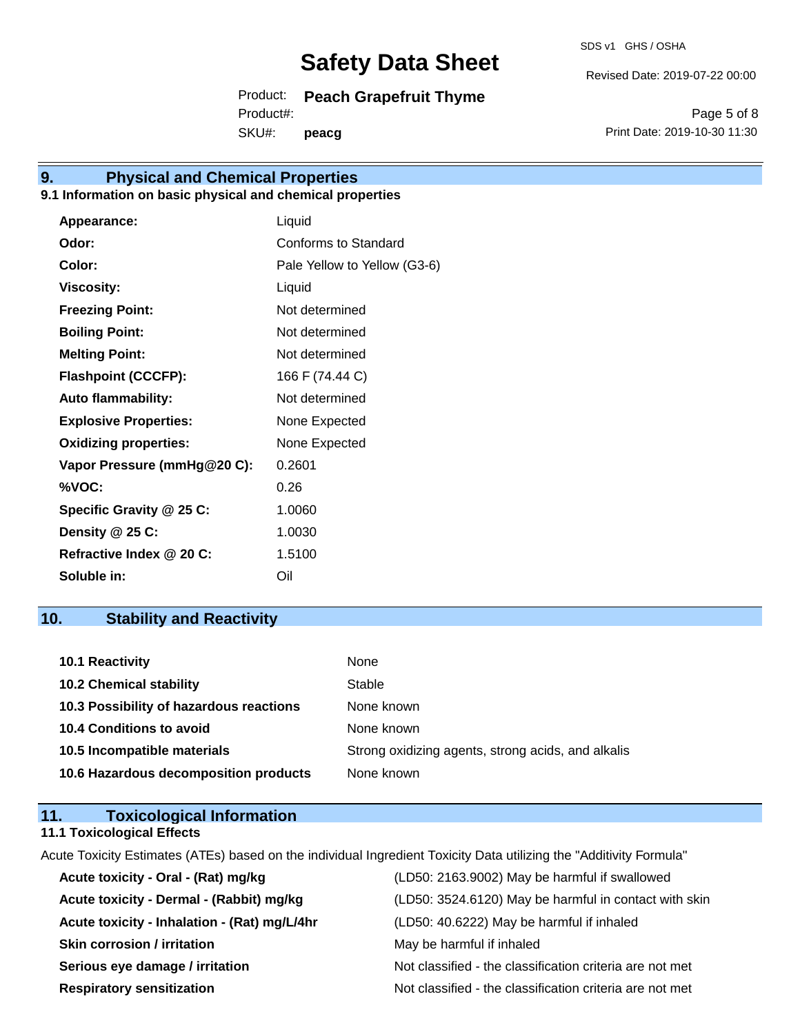SDS v1 GHS / OSHA

Revised Date: 2019-07-22 00:00

Product: **Peach Grapefruit Thyme** SKU#: Product#: **peacg**

Page 5 of 8 Print Date: 2019-10-30 11:30

## **9. Physical and Chemical Properties**

### **9.1 Information on basic physical and chemical properties**

| Liquid                       |
|------------------------------|
| Conforms to Standard         |
| Pale Yellow to Yellow (G3-6) |
| Liquid                       |
| Not determined               |
| Not determined               |
| Not determined               |
| 166 F (74.44 C)              |
| Not determined               |
| None Expected                |
| None Expected                |
| 0.2601                       |
| 0.26                         |
| 1.0060                       |
| 1.0030                       |
| 1.5100                       |
| Oil                          |
|                              |

## **10. Stability and Reactivity**

| 10.1 Reactivity                         | None                                               |
|-----------------------------------------|----------------------------------------------------|
| <b>10.2 Chemical stability</b>          | Stable                                             |
| 10.3 Possibility of hazardous reactions | None known                                         |
| <b>10.4 Conditions to avoid</b>         | None known                                         |
| 10.5 Incompatible materials             | Strong oxidizing agents, strong acids, and alkalis |
| 10.6 Hazardous decomposition products   | None known                                         |

### **11. Toxicological Information 11.1 Toxicological Effects**

Acute Toxicity Estimates (ATEs) based on the individual Ingredient Toxicity Data utilizing the "Additivity Formula"

| Acute toxicity - Oral - (Rat) mg/kg          | (LD50: 2163.9002) May be harmful if swallowed            |
|----------------------------------------------|----------------------------------------------------------|
| Acute toxicity - Dermal - (Rabbit) mg/kg     | (LD50: 3524.6120) May be harmful in contact with skin    |
| Acute toxicity - Inhalation - (Rat) mg/L/4hr | (LD50: 40.6222) May be harmful if inhaled                |
| <b>Skin corrosion / irritation</b>           | May be harmful if inhaled                                |
| Serious eye damage / irritation              | Not classified - the classification criteria are not met |
| <b>Respiratory sensitization</b>             | Not classified - the classification criteria are not met |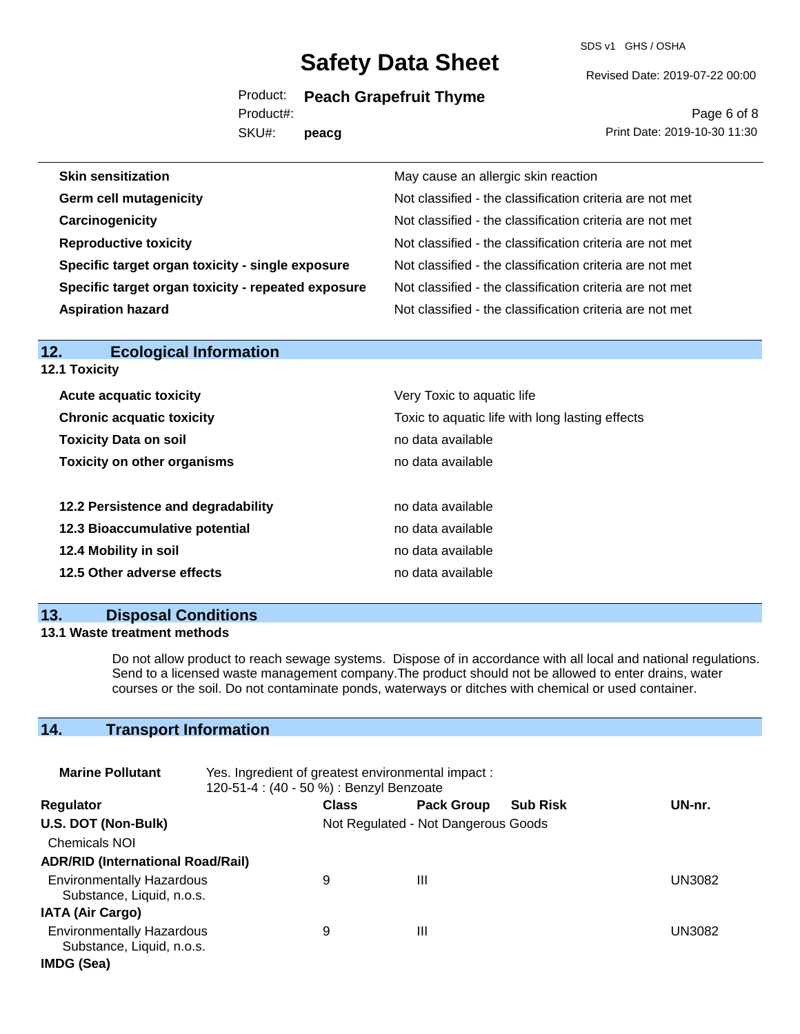SDS v1 GHS / OSHA

Product: **Peach Grapefruit Thyme**

SKU#: Product#: **peacg**

Page 6 of 8 Print Date: 2019-10-30 11:30

Revised Date: 2019-07-22 00:00

| May cause an allergic skin reaction                      |
|----------------------------------------------------------|
| Not classified - the classification criteria are not met |
| Not classified - the classification criteria are not met |
| Not classified - the classification criteria are not met |
| Not classified - the classification criteria are not met |
| Not classified - the classification criteria are not met |
| Not classified - the classification criteria are not met |
|                                                          |

| <b>Ecological Information</b><br>12. |                                                 |  |  |
|--------------------------------------|-------------------------------------------------|--|--|
| 12.1 Toxicity                        |                                                 |  |  |
| <b>Acute acquatic toxicity</b>       | Very Toxic to aquatic life                      |  |  |
| <b>Chronic acquatic toxicity</b>     | Toxic to aquatic life with long lasting effects |  |  |
| <b>Toxicity Data on soil</b>         | no data available                               |  |  |
| <b>Toxicity on other organisms</b>   | no data available                               |  |  |
| 12.2 Persistence and degradability   | no data available                               |  |  |
| 12.3 Bioaccumulative potential       | no data available                               |  |  |
| 12.4 Mobility in soil                | no data available                               |  |  |
| 12.5 Other adverse effects           | no data available                               |  |  |
|                                      |                                                 |  |  |

### **13. Disposal Conditions**

#### **13.1 Waste treatment methods**

Do not allow product to reach sewage systems. Dispose of in accordance with all local and national regulations. Send to a licensed waste management company.The product should not be allowed to enter drains, water courses or the soil. Do not contaminate ponds, waterways or ditches with chemical or used container.

## **14. Transport Information**

| <b>Marine Pollutant</b>                                       | Yes. Ingredient of greatest environmental impact:<br>120-51-4 : (40 - 50 %) : Benzyl Benzoate |              |                                     |                 |               |
|---------------------------------------------------------------|-----------------------------------------------------------------------------------------------|--------------|-------------------------------------|-----------------|---------------|
| <b>Regulator</b>                                              |                                                                                               | <b>Class</b> | <b>Pack Group</b>                   | <b>Sub Risk</b> | UN-nr.        |
| U.S. DOT (Non-Bulk)                                           |                                                                                               |              | Not Regulated - Not Dangerous Goods |                 |               |
| <b>Chemicals NOI</b>                                          |                                                                                               |              |                                     |                 |               |
| <b>ADR/RID (International Road/Rail)</b>                      |                                                                                               |              |                                     |                 |               |
| <b>Environmentally Hazardous</b><br>Substance, Liquid, n.o.s. |                                                                                               | 9            | Ш                                   |                 | <b>UN3082</b> |
| <b>IATA (Air Cargo)</b>                                       |                                                                                               |              |                                     |                 |               |
| <b>Environmentally Hazardous</b><br>Substance, Liquid, n.o.s. |                                                                                               | 9            | Ш                                   |                 | UN3082        |
| IMDG (Sea)                                                    |                                                                                               |              |                                     |                 |               |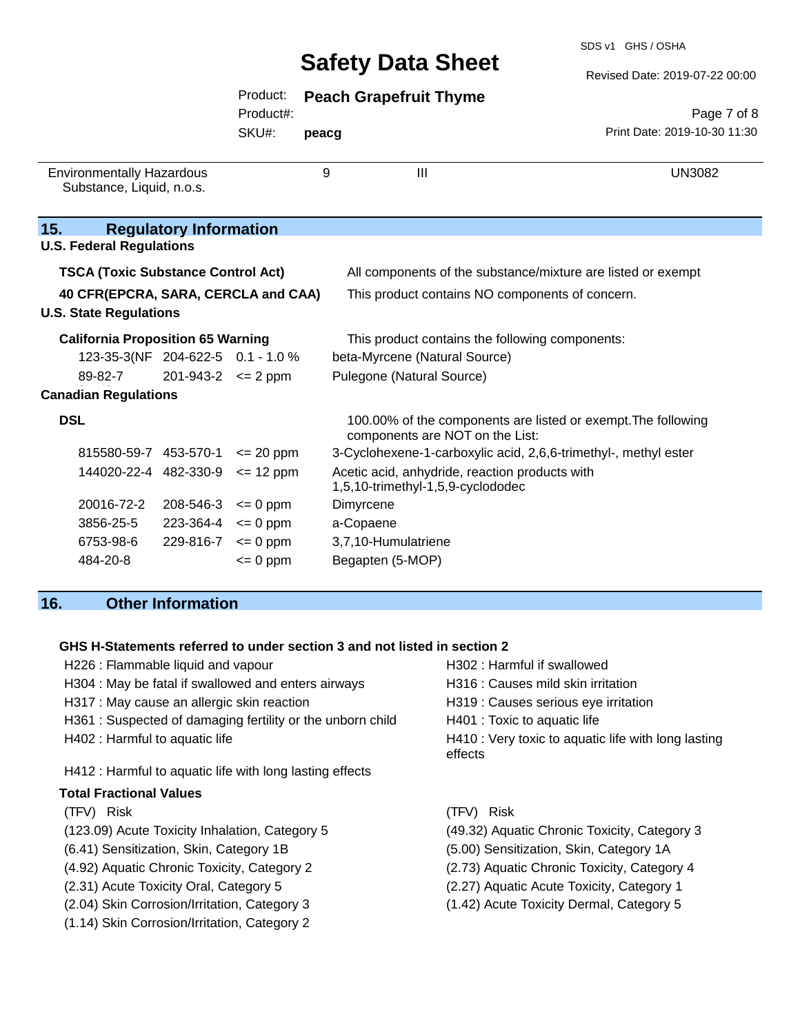SDS v1 GHS / OSHA

Revised Date: 2019-07-22 00:00

|                                                                                                                   |                               | Product:<br>Product#: |       | <b>Peach Grapefruit Thyme</b>                                                                                   | Page 7 of 8                  |
|-------------------------------------------------------------------------------------------------------------------|-------------------------------|-----------------------|-------|-----------------------------------------------------------------------------------------------------------------|------------------------------|
|                                                                                                                   |                               | SKU#:                 | peacg |                                                                                                                 | Print Date: 2019-10-30 11:30 |
| <b>Environmentally Hazardous</b><br>Substance, Liquid, n.o.s.                                                     |                               |                       | 9     | III                                                                                                             | <b>UN3082</b>                |
| 15.<br><b>U.S. Federal Regulations</b>                                                                            | <b>Regulatory Information</b> |                       |       |                                                                                                                 |                              |
| <b>TSCA (Toxic Substance Control Act)</b><br>40 CFR(EPCRA, SARA, CERCLA and CAA)<br><b>U.S. State Regulations</b> |                               |                       |       | All components of the substance/mixture are listed or exempt<br>This product contains NO components of concern. |                              |
| <b>California Proposition 65 Warning</b>                                                                          |                               |                       |       | This product contains the following components:                                                                 |                              |
| 123-35-3(NF 204-622-5 0.1 - 1.0 %                                                                                 |                               |                       |       | beta-Myrcene (Natural Source)                                                                                   |                              |
| 89-82-7                                                                                                           | $201-943-2$ <= 2 ppm          |                       |       | Pulegone (Natural Source)                                                                                       |                              |
| <b>Canadian Regulations</b>                                                                                       |                               |                       |       |                                                                                                                 |                              |
| <b>DSL</b>                                                                                                        |                               |                       |       | 100.00% of the components are listed or exempt. The following<br>components are NOT on the List:                |                              |
| 815580-59-7 453-570-1                                                                                             |                               | $\leq$ 20 ppm         |       | 3-Cyclohexene-1-carboxylic acid, 2,6,6-trimethyl-, methyl ester                                                 |                              |
| 144020-22-4 482-330-9                                                                                             |                               | $= 12$ ppm            |       | Acetic acid, anhydride, reaction products with<br>1,5,10-trimethyl-1,5,9-cyclododec                             |                              |
| 20016-72-2                                                                                                        | 208-546-3                     | $= 0$ ppm             |       | Dimyrcene                                                                                                       |                              |
| 3856-25-5                                                                                                         | 223-364-4                     | $\leq 0$ ppm          |       | a-Copaene                                                                                                       |                              |
| 6753-98-6                                                                                                         | $229-816-7$ <= 0 ppm          |                       |       | 3,7,10-Humulatriene                                                                                             |                              |
| 484-20-8                                                                                                          |                               | $= 0$ ppm             |       | Begapten (5-MOP)                                                                                                |                              |

## **16. Other Information**

### **GHS H-Statements referred to under section 3 and not listed in section 2**

| H226 : Flammable liquid and vapour                        | H302 : Harmful if swallowed                                    |
|-----------------------------------------------------------|----------------------------------------------------------------|
| H304 : May be fatal if swallowed and enters airways       | H316 : Causes mild skin irritation                             |
| H317 : May cause an allergic skin reaction                | H319 : Causes serious eye irritation                           |
| H361: Suspected of damaging fertility or the unborn child | H401 : Toxic to aquatic life                                   |
| H402 : Harmful to aquatic life                            | H410 : Very toxic to aquatic life with long lasting<br>effects |
| H412 : Harmful to aquatic life with long lasting effects  |                                                                |
| <b>Total Fractional Values</b>                            |                                                                |
| (TFV) Risk                                                | (TFV) Risk                                                     |
| (123.09) Acute Toxicity Inhalation, Category 5            | (49.32) Aquatic Chronic Toxicity, Category 3                   |
| (6.41) Sensitization, Skin, Category 1B                   | (5.00) Sensitization, Skin, Category 1A                        |
| (4.92) Aquatic Chronic Toxicity, Category 2               | (2.73) Aquatic Chronic Toxicity, Category 4                    |
| (2.31) Acute Toxicity Oral, Category 5                    | (2.27) Aquatic Acute Toxicity, Category 1                      |
| (2.04) Skin Corrosion/Irritation, Category 3              | (1.42) Acute Toxicity Dermal, Category 5                       |
| (1.14) Skin Corrosion/Irritation, Category 2              |                                                                |
|                                                           |                                                                |